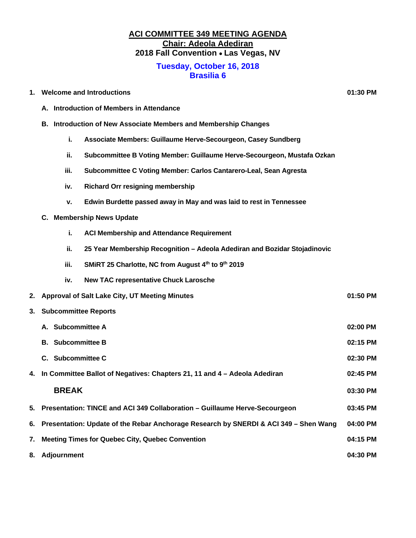# **ACI COMMITTEE 349 MEETING AGENDA Chair: Adeola Adediran 2018 Fall Convention** • **Las Vegas, NV**

#### **Tuesday, October 16, 2018 Brasilia 6**

| 01:30 PM |
|----------|
|          |

- **A. Introduction of Members in Attendance**
- **B. Introduction of New Associate Members and Membership Changes**
	- **i. Associate Members: Guillaume Herve-Secourgeon, Casey Sundberg**
	- **ii. Subcommittee B Voting Member: Guillaume Herve-Secourgeon, Mustafa Ozkan**
	- **iii. Subcommittee C Voting Member: Carlos Cantarero-Leal, Sean Agresta**
	- **iv. Richard Orr resigning membership**
	- **v. Edwin Burdette passed away in May and was laid to rest in Tennessee**
- **C. Membership News Update**
	- **i. ACI Membership and Attendance Requirement**
	- **ii. 25 Year Membership Recognition – Adeola Adediran and Bozidar Stojadinovic**
	- **iii. SMiRT 25 Charlotte, NC from August 4th to 9th 2019**
	- **iv. New TAC representative Chuck Larosche**
- **2. Approval of Salt Lake City, UT Meeting Minutes 01:50 PM**
- **3. Subcommittee Reports**

| A. Subcommittee A                                                                       | 02:00 PM |
|-----------------------------------------------------------------------------------------|----------|
| <b>B.</b> Subcommittee B                                                                | 02:15 PM |
| C. Subcommittee C.                                                                      | 02:30 PM |
| 4. In Committee Ballot of Negatives: Chapters 21, 11 and 4 - Adeola Adediran            | 02:45 PM |
| <b>BREAK</b>                                                                            | 03:30 PM |
| 5. Presentation: TINCE and ACI 349 Collaboration - Guillaume Herve-Secourgeon           | 03:45 PM |
| 6. Presentation: Update of the Rebar Anchorage Research by SNERDI & ACI 349 – Shen Wang | 04:00 PM |
| 7. Meeting Times for Quebec City, Quebec Convention                                     | 04:15 PM |
| 8. Adjournment                                                                          | 04:30 PM |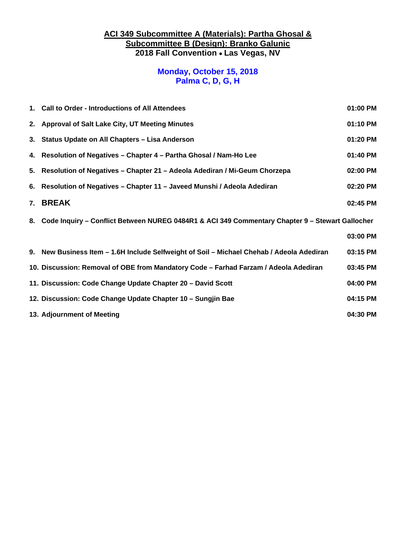### **ACI 349 Subcommittee A (Materials): Partha Ghosal & Subcommittee B (Design): Branko Galunic 2018 Fall Convention** • **Las Vegas, NV**

### **Monday, October 15, 2018 Palma C, D, G, H**

| 1. Call to Order - Introductions of All Attendees<br>01:00 PM                                      |          |  |
|----------------------------------------------------------------------------------------------------|----------|--|
| 01:10 PM<br>2. Approval of Salt Lake City, UT Meeting Minutes                                      |          |  |
| 3. Status Update on All Chapters - Lisa Anderson                                                   | 01:20 PM |  |
| 4. Resolution of Negatives - Chapter 4 - Partha Ghosal / Nam-Ho Lee                                | 01:40 PM |  |
| 5. Resolution of Negatives - Chapter 21 - Adeola Adediran / Mi-Geum Chorzepa                       | 02:00 PM |  |
| 6. Resolution of Negatives - Chapter 11 - Javeed Munshi / Adeola Adediran                          | 02:20 PM |  |
| 7. BREAK                                                                                           | 02:45 PM |  |
| 8. Code Inquiry - Conflict Between NUREG 0484R1 & ACI 349 Commentary Chapter 9 - Stewart Gallocher |          |  |
|                                                                                                    | 03:00 PM |  |
| 9. New Business Item - 1.6H Include Selfweight of Soil - Michael Chehab / Adeola Adediran          | 03:15 PM |  |
| 10. Discussion: Removal of OBE from Mandatory Code - Farhad Farzam / Adeola Adediran               | 03:45 PM |  |
| 11. Discussion: Code Change Update Chapter 20 - David Scott                                        | 04:00 PM |  |
| 12. Discussion: Code Change Update Chapter 10 - Sungjin Bae                                        | 04:15 PM |  |
| 13. Adjournment of Meeting                                                                         | 04:30 PM |  |